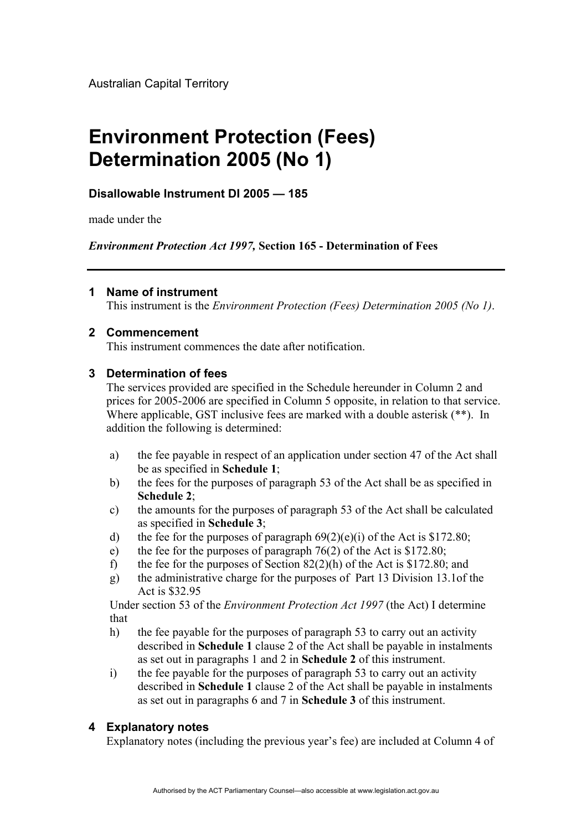Australian Capital Territory

# **Environment Protection (Fees) Determination 2005 (No 1)**

# **Disallowable Instrument DI 2005 — 185**

made under the

*Environment Protection Act 1997,* **Section 165 - Determination of Fees** 

#### **1 Name of instrument**

This instrument is the *Environment Protection (Fees) Determination 2005 (No 1)*.

#### **2 Commencement**

This instrument commences the date after notification.

#### **3 Determination of fees**

The services provided are specified in the Schedule hereunder in Column 2 and prices for 2005-2006 are specified in Column 5 opposite, in relation to that service. Where applicable, GST inclusive fees are marked with a double asterisk (\*\*). In addition the following is determined:

- a) the fee payable in respect of an application under section 47 of the Act shall be as specified in **Schedule 1**;
- b) the fees for the purposes of paragraph 53 of the Act shall be as specified in **Schedule 2**;
- c) the amounts for the purposes of paragraph 53 of the Act shall be calculated as specified in **Schedule 3**;
- d) the fee for the purposes of paragraph  $69(2)(e)(i)$  of the Act is \$172.80;
- e) the fee for the purposes of paragraph  $76(2)$  of the Act is \$172.80;
- f) the fee for the purposes of Section  $82(2)(h)$  of the Act is \$172.80; and
- g) the administrative charge for the purposes of Part 13 Division 13.1of the Act is \$32.95

Under section 53 of the *Environment Protection Act 1997* (the Act) I determine that

- h) the fee payable for the purposes of paragraph 53 to carry out an activity described in **Schedule 1** clause 2 of the Act shall be payable in instalments as set out in paragraphs 1 and 2 in **Schedule 2** of this instrument.
- i) the fee payable for the purposes of paragraph 53 to carry out an activity described in **Schedule 1** clause 2 of the Act shall be payable in instalments as set out in paragraphs 6 and 7 in **Schedule 3** of this instrument.

# **4 Explanatory notes**

Explanatory notes (including the previous year's fee) are included at Column 4 of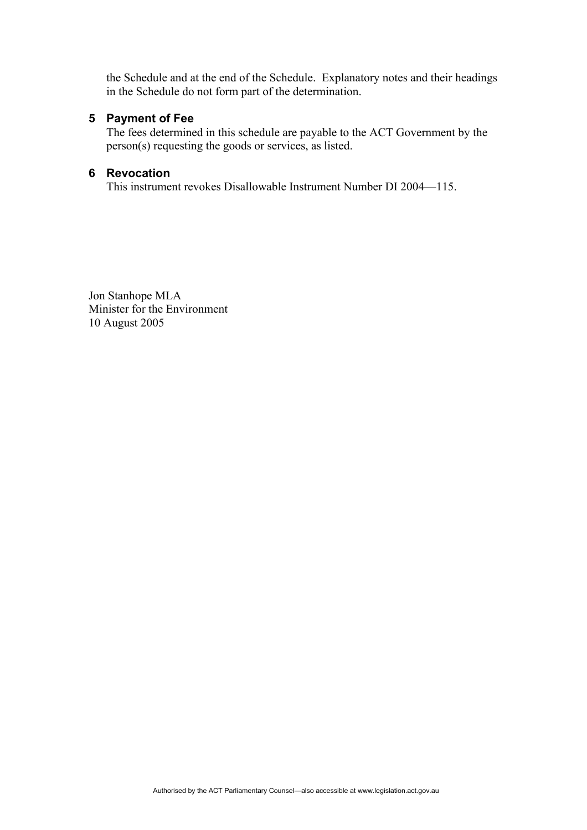the Schedule and at the end of the Schedule. Explanatory notes and their headings in the Schedule do not form part of the determination.

#### **5 Payment of Fee**

The fees determined in this schedule are payable to the ACT Government by the person(s) requesting the goods or services, as listed.

#### **6 Revocation**

This instrument revokes Disallowable Instrument Number DI 2004—115.

Jon Stanhope MLA Minister for the Environment 10 August 2005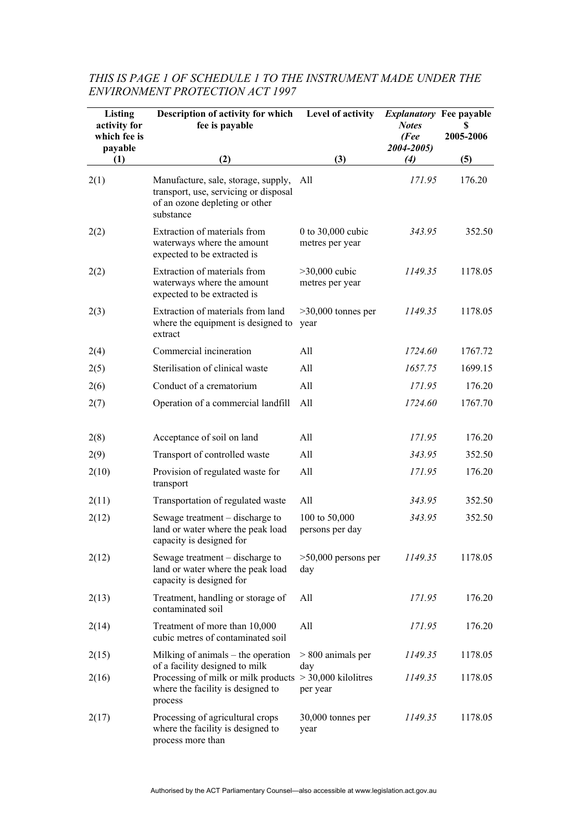| Listing<br>activity for<br>which fee is<br>payable | Description of activity for which<br>fee is payable                                                                                         | Level of activity                      | <i>Explanatory</i> Fee payable<br><b>Notes</b><br>(Fee<br>2004-2005) | S<br>2005-2006 |
|----------------------------------------------------|---------------------------------------------------------------------------------------------------------------------------------------------|----------------------------------------|----------------------------------------------------------------------|----------------|
| (1)                                                | (2)                                                                                                                                         | (3)                                    | (4)                                                                  | (5)            |
| 2(1)                                               | Manufacture, sale, storage, supply,<br>transport, use, servicing or disposal<br>of an ozone depleting or other<br>substance                 | All                                    | 171.95                                                               | 176.20         |
| 2(2)                                               | Extraction of materials from<br>waterways where the amount<br>expected to be extracted is                                                   | 0 to $30,000$ cubic<br>metres per year | 343.95                                                               | 352.50         |
| 2(2)                                               | Extraction of materials from<br>waterways where the amount<br>expected to be extracted is                                                   | $>30,000$ cubic<br>metres per year     | 1149.35                                                              | 1178.05        |
| 2(3)                                               | Extraction of materials from land<br>where the equipment is designed to<br>extract                                                          | $>30,000$ tonnes per<br>year           | 1149.35                                                              | 1178.05        |
| 2(4)                                               | Commercial incineration                                                                                                                     | All                                    | 1724.60                                                              | 1767.72        |
| 2(5)                                               | Sterilisation of clinical waste                                                                                                             | All                                    | 1657.75                                                              | 1699.15        |
| 2(6)                                               | Conduct of a crematorium                                                                                                                    | All                                    | 171.95                                                               | 176.20         |
| 2(7)                                               | Operation of a commercial landfill                                                                                                          | All                                    | 1724.60                                                              | 1767.70        |
| 2(8)                                               | Acceptance of soil on land                                                                                                                  | All                                    | 171.95                                                               | 176.20         |
| 2(9)                                               | Transport of controlled waste                                                                                                               | All                                    | 343.95                                                               | 352.50         |
| 2(10)                                              | Provision of regulated waste for<br>transport                                                                                               | All                                    | 171.95                                                               | 176.20         |
| 2(11)                                              | Transportation of regulated waste                                                                                                           | All                                    | 343.95                                                               | 352.50         |
| 2(12)                                              | Sewage treatment – discharge to<br>land or water where the peak load<br>capacity is designed for                                            | 100 to 50,000<br>persons per day       | 343.95                                                               | 352.50         |
| 2(12)                                              | Sewage treatment – discharge to<br>land or water where the peak load<br>capacity is designed for                                            | $>50,000$ persons per<br>day           | 1149.35                                                              | 1178.05        |
| 2(13)                                              | Treatment, handling or storage of<br>contaminated soil                                                                                      | All                                    | 171.95                                                               | 176.20         |
| 2(14)                                              | Treatment of more than 10,000<br>cubic metres of contaminated soil                                                                          | All                                    | 171.95                                                               | 176.20         |
| 2(15)                                              | Milking of animals – the operation                                                                                                          | $> 800$ animals per                    | 1149.35                                                              | 1178.05        |
| 2(16)                                              | of a facility designed to milk<br>Processing of milk or milk products $> 30,000$ kilolitres<br>where the facility is designed to<br>process | day<br>per year                        | 1149.35                                                              | 1178.05        |
| 2(17)                                              | Processing of agricultural crops<br>where the facility is designed to<br>process more than                                                  | 30,000 tonnes per<br>year              | 1149.35                                                              | 1178.05        |

### *THIS IS PAGE 1 OF SCHEDULE 1 TO THE INSTRUMENT MADE UNDER THE ENVIRONMENT PROTECTION ACT 1997*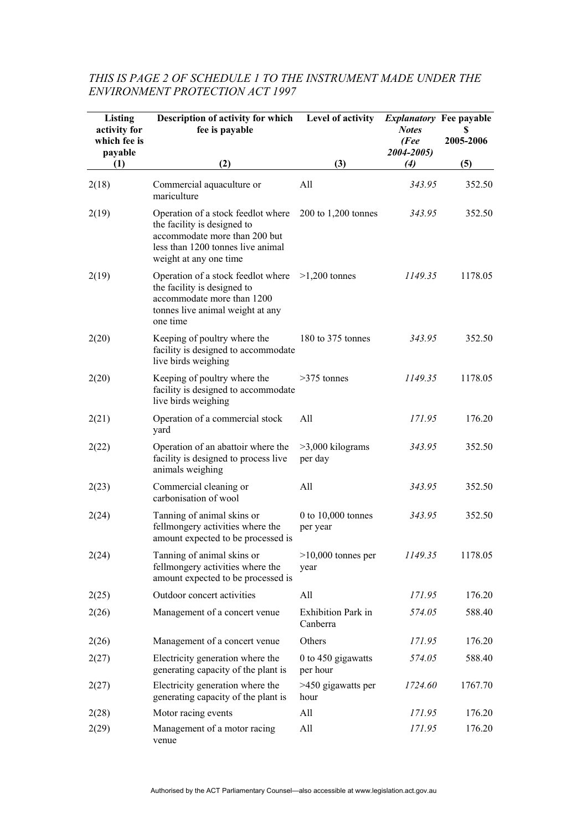| Listing<br>activity for<br>which fee is<br>payable | Description of activity for which<br>fee is payable                                                                                                                                   | Level of activity                     | <i>Explanatory</i> Fee payable<br><b>Notes</b><br>(Fee<br>2004-2005) | S<br>2005-2006 |
|----------------------------------------------------|---------------------------------------------------------------------------------------------------------------------------------------------------------------------------------------|---------------------------------------|----------------------------------------------------------------------|----------------|
| (1)                                                | (2)                                                                                                                                                                                   | (3)                                   | (4)                                                                  | (5)            |
| 2(18)                                              | Commercial aquaculture or<br>mariculture                                                                                                                                              | All                                   | 343.95                                                               | 352.50         |
| 2(19)                                              | Operation of a stock feedlot where 200 to 1,200 tonnes<br>the facility is designed to<br>accommodate more than 200 but<br>less than 1200 tonnes live animal<br>weight at any one time |                                       | 343.95                                                               | 352.50         |
| 2(19)                                              | Operation of a stock feedlot where $>1,200$ tonnes<br>the facility is designed to<br>accommodate more than 1200<br>tonnes live animal weight at any<br>one time                       |                                       | 1149.35                                                              | 1178.05        |
| 2(20)                                              | Keeping of poultry where the<br>facility is designed to accommodate<br>live birds weighing                                                                                            | 180 to 375 tonnes                     | 343.95                                                               | 352.50         |
| 2(20)                                              | Keeping of poultry where the<br>facility is designed to accommodate<br>live birds weighing                                                                                            | $>375$ tonnes                         | 1149.35                                                              | 1178.05        |
| 2(21)                                              | Operation of a commercial stock<br>yard                                                                                                                                               | All                                   | 171.95                                                               | 176.20         |
| 2(22)                                              | Operation of an abattoir where the<br>facility is designed to process live<br>animals weighing                                                                                        | $>3,000$ kilograms<br>per day         | 343.95                                                               | 352.50         |
| 2(23)                                              | Commercial cleaning or<br>carbonisation of wool                                                                                                                                       | All                                   | 343.95                                                               | 352.50         |
| 2(24)                                              | Tanning of animal skins or<br>fellmongery activities where the<br>amount expected to be processed is                                                                                  | 0 to $10,000$ tonnes<br>per year      | 343.95                                                               | 352.50         |
| 2(24)                                              | Tanning of animal skins or<br>fellmongery activities where the<br>amount expected to be processed is                                                                                  | $>10,000$ tonnes per<br>year          | 1149.35                                                              | 1178.05        |
| 2(25)                                              | Outdoor concert activities                                                                                                                                                            | All                                   | 171.95                                                               | 176.20         |
| 2(26)                                              | Management of a concert venue                                                                                                                                                         | <b>Exhibition Park in</b><br>Canberra | 574.05                                                               | 588.40         |
| 2(26)                                              | Management of a concert venue                                                                                                                                                         | Others                                | 171.95                                                               | 176.20         |
| 2(27)                                              | Electricity generation where the<br>generating capacity of the plant is                                                                                                               | 0 to 450 gigawatts<br>per hour        | 574.05                                                               | 588.40         |
| 2(27)                                              | Electricity generation where the<br>generating capacity of the plant is                                                                                                               | >450 gigawatts per<br>hour            | 1724.60                                                              | 1767.70        |
| 2(28)                                              | Motor racing events                                                                                                                                                                   | All                                   | 171.95                                                               | 176.20         |
| 2(29)                                              | Management of a motor racing<br>venue                                                                                                                                                 | All                                   | 171.95                                                               | 176.20         |

#### *THIS IS PAGE 2 OF SCHEDULE 1 TO THE INSTRUMENT MADE UNDER THE ENVIRONMENT PROTECTION ACT 1997*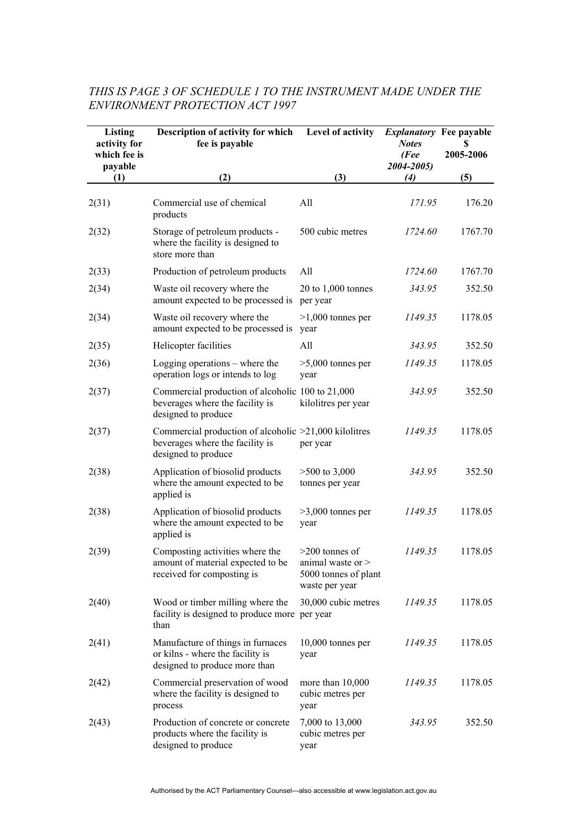# *THIS IS PAGE 3 OF SCHEDULE 1 TO THE INSTRUMENT MADE UNDER THE ENVIRONMENT PROTECTION ACT 1997*

| Listing<br>activity for<br>which fee is | Description of activity for which<br>fee is payable                                                             | Level of activity                                                                 | <i>Explanatory</i> Fee payable<br><b>Notes</b><br>(Fee<br>2004-2005) | S<br>2005-2006 |
|-----------------------------------------|-----------------------------------------------------------------------------------------------------------------|-----------------------------------------------------------------------------------|----------------------------------------------------------------------|----------------|
| payable<br>(1)                          | (2)                                                                                                             | (3)                                                                               | (4)                                                                  | (5)            |
| 2(31)                                   | Commercial use of chemical<br>products                                                                          | All                                                                               | 171.95                                                               | 176.20         |
| 2(32)                                   | Storage of petroleum products -<br>where the facility is designed to<br>store more than                         | 500 cubic metres                                                                  | 1724.60                                                              | 1767.70        |
| 2(33)                                   | Production of petroleum products                                                                                | All                                                                               | 1724.60                                                              | 1767.70        |
| 2(34)                                   | Waste oil recovery where the<br>amount expected to be processed is                                              | $20$ to $1,000$ tonnes<br>per year                                                | 343.95                                                               | 352.50         |
| 2(34)                                   | Waste oil recovery where the<br>amount expected to be processed is                                              | $>1,000$ tonnes per<br>vear                                                       | 1149.35                                                              | 1178.05        |
| 2(35)                                   | Helicopter facilities                                                                                           | All                                                                               | 343.95                                                               | 352.50         |
| 2(36)                                   | Logging operations $-$ where the<br>operation logs or intends to log                                            | $>5,000$ tonnes per<br>year                                                       | 1149.35                                                              | 1178.05        |
| 2(37)                                   | Commercial production of alcoholic 100 to 21,000<br>beverages where the facility is<br>designed to produce      | kilolitres per year                                                               | 343.95                                                               | 352.50         |
| 2(37)                                   | Commercial production of alcoholic >21,000 kilolitres<br>beverages where the facility is<br>designed to produce | per year                                                                          | 1149.35                                                              | 1178.05        |
| 2(38)                                   | Application of biosolid products<br>where the amount expected to be<br>applied is                               | $>500$ to 3,000<br>tonnes per year                                                | 343.95                                                               | 352.50         |
| 2(38)                                   | Application of biosolid products<br>where the amount expected to be<br>applied is                               | $>3,000$ tonnes per<br>year                                                       | 1149.35                                                              | 1178.05        |
| 2(39)                                   | Composting activities where the<br>amount of material expected to be<br>received for composting is              | $>200$ tonnes of<br>animal waste or $>$<br>5000 tonnes of plant<br>waste per year | 1149.35                                                              | 1178.05        |
| 2(40)                                   | Wood or timber milling where the<br>facility is designed to produce more per year<br>than                       | 30,000 cubic metres                                                               | 1149.35                                                              | 1178.05        |
| 2(41)                                   | Manufacture of things in furnaces<br>or kilns - where the facility is<br>designed to produce more than          | $10,000$ tonnes per<br>year                                                       | 1149.35                                                              | 1178.05        |
| 2(42)                                   | Commercial preservation of wood<br>where the facility is designed to<br>process                                 | more than $10,000$<br>cubic metres per<br>year                                    | 1149.35                                                              | 1178.05        |
| 2(43)                                   | Production of concrete or concrete<br>products where the facility is<br>designed to produce                     | 7,000 to 13,000<br>cubic metres per<br>year                                       | 343.95                                                               | 352.50         |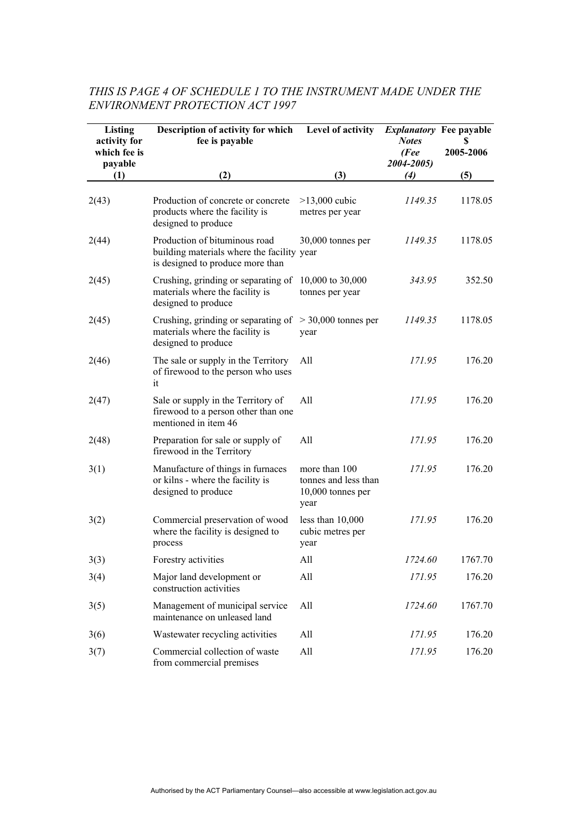# *THIS IS PAGE 4 OF SCHEDULE 1 TO THE INSTRUMENT MADE UNDER THE ENVIRONMENT PROTECTION ACT 1997*

| <b>Listing</b><br>activity for<br>which fee is<br>payable | Description of activity for which<br>fee is payable                                                                 | Level of activity                                                  | <i>Explanatory</i> Fee payable<br><b>Notes</b><br>(Fee<br>2004-2005) | S<br>2005-2006 |
|-----------------------------------------------------------|---------------------------------------------------------------------------------------------------------------------|--------------------------------------------------------------------|----------------------------------------------------------------------|----------------|
| (1)                                                       | (2)                                                                                                                 | (3)                                                                | (4)                                                                  | (5)            |
| 2(43)                                                     | Production of concrete or concrete<br>products where the facility is<br>designed to produce                         | $>13,000$ cubic<br>metres per year                                 | 1149.35                                                              | 1178.05        |
| 2(44)                                                     | Production of bituminous road<br>building materials where the facility year<br>is designed to produce more than     | 30,000 tonnes per                                                  | 1149.35                                                              | 1178.05        |
| 2(45)                                                     | Crushing, grinding or separating of<br>materials where the facility is<br>designed to produce                       | 10,000 to 30,000<br>tonnes per year                                | 343.95                                                               | 352.50         |
| 2(45)                                                     | Crushing, grinding or separating of $> 30,000$ tonnes per<br>materials where the facility is<br>designed to produce | year                                                               | 1149.35                                                              | 1178.05        |
| 2(46)                                                     | The sale or supply in the Territory<br>of firewood to the person who uses<br>it                                     | All                                                                | 171.95                                                               | 176.20         |
| 2(47)                                                     | Sale or supply in the Territory of<br>firewood to a person other than one<br>mentioned in item 46                   | All                                                                | 171.95                                                               | 176.20         |
| 2(48)                                                     | Preparation for sale or supply of<br>firewood in the Territory                                                      | All                                                                | 171.95                                                               | 176.20         |
| 3(1)                                                      | Manufacture of things in furnaces<br>or kilns - where the facility is<br>designed to produce                        | more than 100<br>tonnes and less than<br>10,000 tonnes per<br>year | 171.95                                                               | 176.20         |
| 3(2)                                                      | Commercial preservation of wood<br>where the facility is designed to<br>process                                     | less than $10,000$<br>cubic metres per<br>year                     | 171.95                                                               | 176.20         |
| 3(3)                                                      | Forestry activities                                                                                                 | All                                                                | 1724.60                                                              | 1767.70        |
| 3(4)                                                      | Major land development or<br>construction activities                                                                | All                                                                | 171.95                                                               | 176.20         |
| 3(5)                                                      | Management of municipal service<br>maintenance on unleased land                                                     | All                                                                | 1724.60                                                              | 1767.70        |
| 3(6)                                                      | Wastewater recycling activities                                                                                     | All                                                                | 171.95                                                               | 176.20         |
| 3(7)                                                      | Commercial collection of waste<br>from commercial premises                                                          | All                                                                | 171.95                                                               | 176.20         |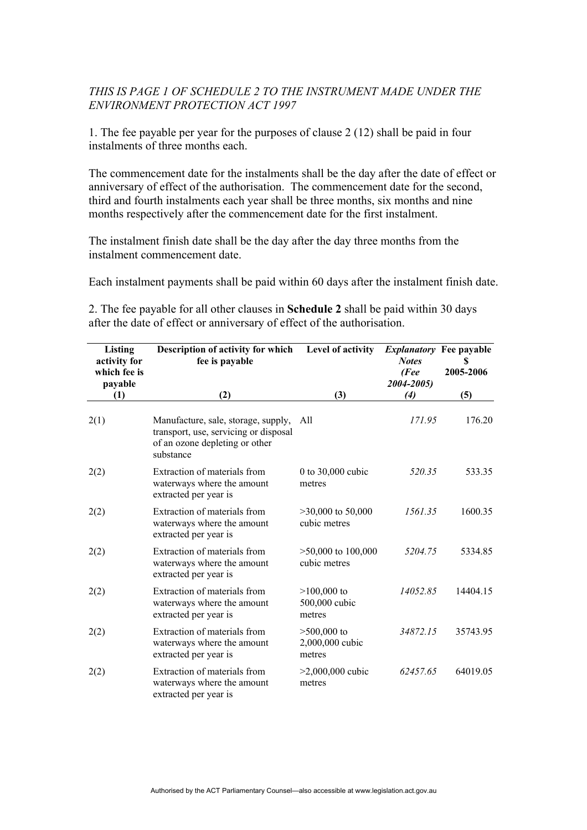## *THIS IS PAGE 1 OF SCHEDULE 2 TO THE INSTRUMENT MADE UNDER THE ENVIRONMENT PROTECTION ACT 1997*

1. The fee payable per year for the purposes of clause 2 (12) shall be paid in four instalments of three months each.

The commencement date for the instalments shall be the day after the date of effect or anniversary of effect of the authorisation. The commencement date for the second, third and fourth instalments each year shall be three months, six months and nine months respectively after the commencement date for the first instalment.

The instalment finish date shall be the day after the day three months from the instalment commencement date.

Each instalment payments shall be paid within 60 days after the instalment finish date.

2. The fee payable for all other clauses in **Schedule 2** shall be paid within 30 days after the date of effect or anniversary of effect of the authorisation.

| Listing<br>activity for<br>which fee is<br>payable | Description of activity for which<br>fee is payable                                                                         | Level of activity                          | <b>Notes</b><br>(Fee<br>2004-2005) | <i>Explanatory</i> Fee payable<br>2005-2006 |
|----------------------------------------------------|-----------------------------------------------------------------------------------------------------------------------------|--------------------------------------------|------------------------------------|---------------------------------------------|
| (1)                                                | (2)                                                                                                                         | (3)                                        | (4)                                | (5)                                         |
| 2(1)                                               | Manufacture, sale, storage, supply,<br>transport, use, servicing or disposal<br>of an ozone depleting or other<br>substance | All                                        | 171.95                             | 176.20                                      |
| 2(2)                                               | Extraction of materials from<br>waterways where the amount<br>extracted per year is                                         | 0 to $30,000$ cubic<br>metres              | 520.35                             | 533.35                                      |
| 2(2)                                               | Extraction of materials from<br>waterways where the amount<br>extracted per year is                                         | $>30,000$ to 50,000<br>cubic metres        | 1561.35                            | 1600.35                                     |
| 2(2)                                               | Extraction of materials from<br>waterways where the amount<br>extracted per year is                                         | $>50,000$ to $100,000$<br>cubic metres     | 5204.75                            | 5334.85                                     |
| 2(2)                                               | Extraction of materials from<br>waterways where the amount<br>extracted per year is                                         | $>100,000$ to<br>500,000 cubic<br>metres   | 14052.85                           | 14404.15                                    |
| 2(2)                                               | Extraction of materials from<br>waterways where the amount<br>extracted per year is                                         | $>500,000$ to<br>2,000,000 cubic<br>metres | 34872.15                           | 35743.95                                    |
| 2(2)                                               | Extraction of materials from<br>waterways where the amount<br>extracted per year is                                         | $>2,000,000$ cubic<br>metres               | 62457.65                           | 64019.05                                    |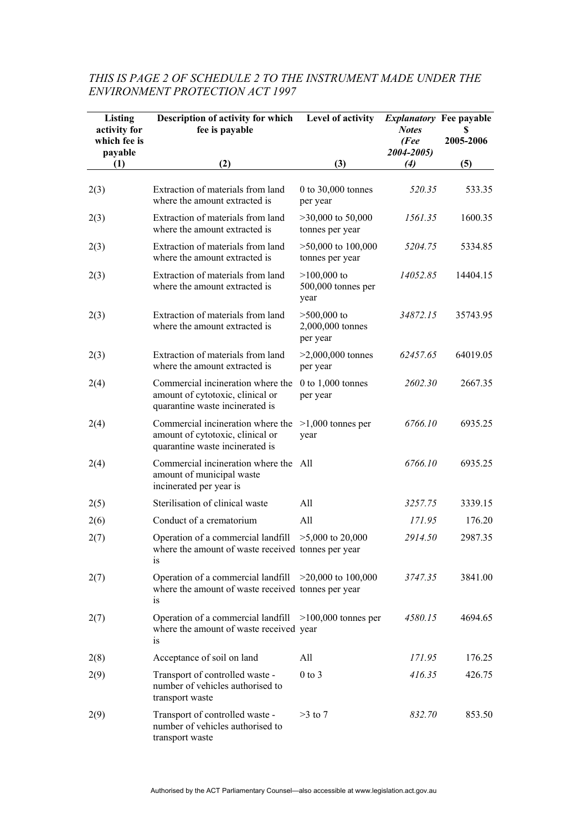| Listing<br>activity for<br>which fee is<br>payable | Description of activity for which<br>fee is payable                                                                 | Level of activity                             | <i>Explanatory</i> Fee payable<br><b>Notes</b><br>(Fee<br>2004-2005) | S<br>2005-2006 |
|----------------------------------------------------|---------------------------------------------------------------------------------------------------------------------|-----------------------------------------------|----------------------------------------------------------------------|----------------|
| (1)                                                | (2)                                                                                                                 | (3)                                           | (4)                                                                  | (5)            |
| 2(3)                                               | Extraction of materials from land<br>where the amount extracted is                                                  | 0 to 30,000 tonnes<br>per year                | 520.35                                                               | 533.35         |
| 2(3)                                               | Extraction of materials from land<br>where the amount extracted is                                                  | $>30,000$ to 50,000<br>tonnes per year        | 1561.35                                                              | 1600.35        |
| 2(3)                                               | Extraction of materials from land<br>where the amount extracted is                                                  | $>50,000$ to $100,000$<br>tonnes per year     | 5204.75                                                              | 5334.85        |
| 2(3)                                               | Extraction of materials from land<br>where the amount extracted is                                                  | $>100,000$ to<br>500,000 tonnes per<br>year   | 14052.85                                                             | 14404.15       |
| 2(3)                                               | Extraction of materials from land<br>where the amount extracted is                                                  | $>500,000$ to<br>2,000,000 tonnes<br>per year | 34872.15                                                             | 35743.95       |
| 2(3)                                               | Extraction of materials from land<br>where the amount extracted is                                                  | $>2,000,000$ tonnes<br>per year               | 62457.65                                                             | 64019.05       |
| 2(4)                                               | Commercial incineration where the<br>amount of cytotoxic, clinical or<br>quarantine waste incinerated is            | 0 to $1,000$ tonnes<br>per year               | 2602.30                                                              | 2667.35        |
| 2(4)                                               | Commercial incineration where the<br>amount of cytotoxic, clinical or<br>quarantine waste incinerated is            | $>1,000$ tonnes per<br>year                   | 6766.10                                                              | 6935.25        |
| 2(4)                                               | Commercial incineration where the All<br>amount of municipal waste<br>incinerated per year is                       |                                               | 6766.10                                                              | 6935.25        |
| 2(5)                                               | Sterilisation of clinical waste                                                                                     | All                                           | 3257.75                                                              | 3339.15        |
| 2(6)                                               | Conduct of a crematorium                                                                                            | All                                           | 171.95                                                               | 176.20         |
| 2(7)                                               | Operation of a commercial landfill<br>where the amount of waste received tonnes per year<br>1S                      | $>5,000$ to 20,000                            | 2914.50                                                              | 2987.35        |
| 2(7)                                               | Operation of a commercial landfill $>20,000$ to 100,000<br>where the amount of waste received tonnes per year<br>1S |                                               | 3747.35                                                              | 3841.00        |
| 2(7)                                               | Operation of a commercial landfill $>100,000$ tonnes per<br>where the amount of waste received year<br>1S           |                                               | 4580.15                                                              | 4694.65        |
| 2(8)                                               | Acceptance of soil on land                                                                                          | All                                           | 171.95                                                               | 176.25         |
| 2(9)                                               | Transport of controlled waste -<br>number of vehicles authorised to<br>transport waste                              | $0$ to $3$                                    | 416.35                                                               | 426.75         |
| 2(9)                                               | Transport of controlled waste -<br>number of vehicles authorised to<br>transport waste                              | $>3$ to 7                                     | 832.70                                                               | 853.50         |

# *THIS IS PAGE 2 OF SCHEDULE 2 TO THE INSTRUMENT MADE UNDER THE ENVIRONMENT PROTECTION ACT 1997*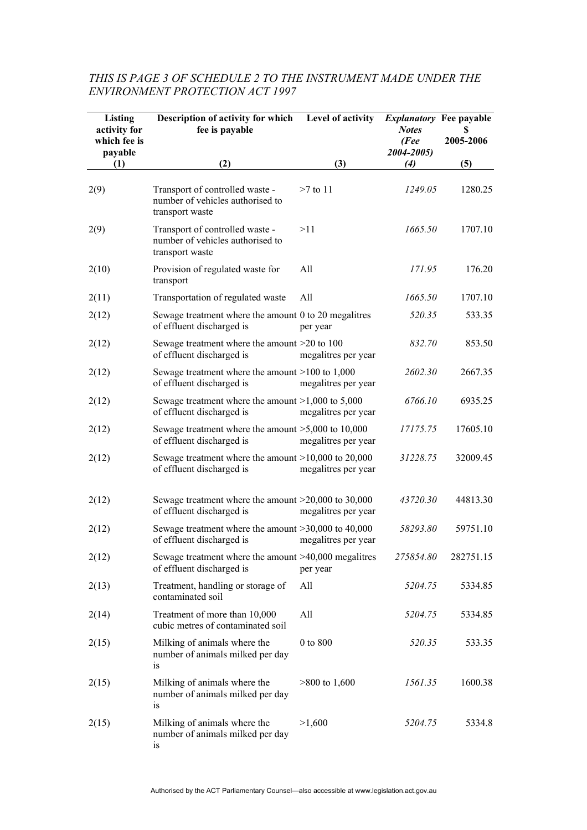| Listing<br>activity for<br>which fee is<br>payable | Description of activity for which<br>fee is payable                                    | Level of activity   | <b>Notes</b><br>(Fee<br>2004-2005) | <i>Explanatory</i> Fee payable<br>S<br>2005-2006 |
|----------------------------------------------------|----------------------------------------------------------------------------------------|---------------------|------------------------------------|--------------------------------------------------|
| (1)                                                | (2)                                                                                    | (3)                 | (4)                                | (5)                                              |
| 2(9)                                               | Transport of controlled waste -<br>number of vehicles authorised to<br>transport waste | $>7$ to 11          | 1249.05                            | 1280.25                                          |
| 2(9)                                               | Transport of controlled waste -<br>number of vehicles authorised to<br>transport waste | >11                 | 1665.50                            | 1707.10                                          |
| 2(10)                                              | Provision of regulated waste for<br>transport                                          | All                 | 171.95                             | 176.20                                           |
| 2(11)                                              | Transportation of regulated waste                                                      | All                 | 1665.50                            | 1707.10                                          |
| 2(12)                                              | Sewage treatment where the amount 0 to 20 megalitres<br>of effluent discharged is      | per year            | 520.35                             | 533.35                                           |
| 2(12)                                              | Sewage treatment where the amount $>20$ to 100<br>of effluent discharged is            | megalitres per year | 832.70                             | 853.50                                           |
| 2(12)                                              | Sewage treatment where the amount $>100$ to 1,000<br>of effluent discharged is         | megalitres per year | 2602.30                            | 2667.35                                          |
| 2(12)                                              | Sewage treatment where the amount $>1,000$ to 5,000<br>of effluent discharged is       | megalitres per year | 6766.10                            | 6935.25                                          |
| 2(12)                                              | Sewage treatment where the amount $>5,000$ to 10,000<br>of effluent discharged is      | megalitres per year | 17175.75                           | 17605.10                                         |
| 2(12)                                              | Sewage treatment where the amount $>10,000$ to 20,000<br>of effluent discharged is     | megalitres per year | 31228.75                           | 32009.45                                         |
| 2(12)                                              | Sewage treatment where the amount $>20,000$ to 30,000<br>of effluent discharged is     | megalitres per year | 43720.30                           | 44813.30                                         |
| 2(12)                                              | Sewage treatment where the amount $>30,000$ to 40,000<br>of effluent discharged is     | megalitres per year | 58293.80                           | 59751.10                                         |
| 2(12)                                              | Sewage treatment where the amount $>40,000$ megalitres<br>of effluent discharged is    | per year            | 275854.80                          | 282751.15                                        |
| 2(13)                                              | Treatment, handling or storage of<br>contaminated soil                                 | All                 | 5204.75                            | 5334.85                                          |
| 2(14)                                              | Treatment of more than 10,000<br>cubic metres of contaminated soil                     | All                 | 5204.75                            | 5334.85                                          |
| 2(15)                                              | Milking of animals where the<br>number of animals milked per day<br>is                 | 0 to 800            | 520.35                             | 533.35                                           |
| 2(15)                                              | Milking of animals where the<br>number of animals milked per day<br>is                 | $>800$ to 1,600     | 1561.35                            | 1600.38                                          |
| 2(15)                                              | Milking of animals where the<br>number of animals milked per day<br>is                 | >1,600              | 5204.75                            | 5334.8                                           |

#### *THIS IS PAGE 3 OF SCHEDULE 2 TO THE INSTRUMENT MADE UNDER THE ENVIRONMENT PROTECTION ACT 1997*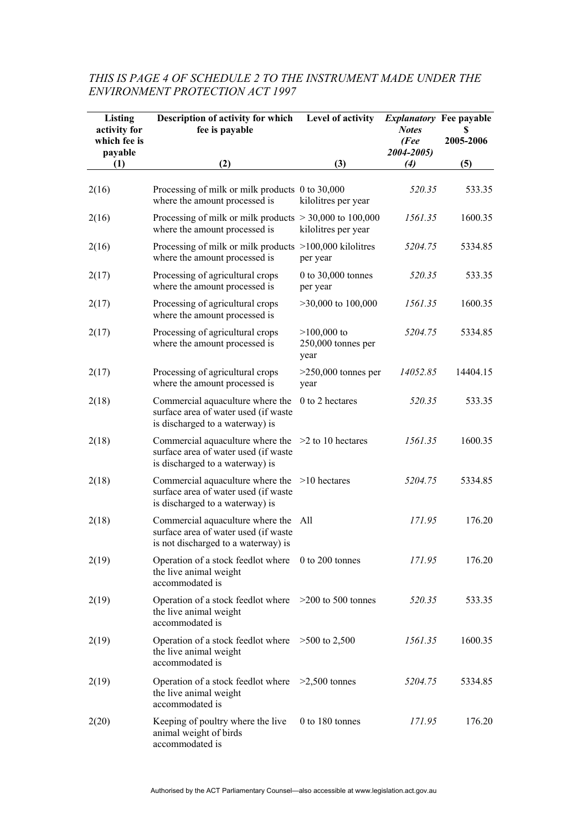| Listing<br>activity for<br>which fee is<br>payable | Description of activity for which<br>fee is payable                                                                             | Level of activity                             | <b>Explanatory</b> Fee payable<br><b>Notes</b><br>(Fee<br>2004-2005) | S<br>2005-2006 |
|----------------------------------------------------|---------------------------------------------------------------------------------------------------------------------------------|-----------------------------------------------|----------------------------------------------------------------------|----------------|
| (1)                                                | (2)                                                                                                                             | (3)                                           | (4)                                                                  | (5)            |
| 2(16)                                              | Processing of milk or milk products 0 to 30,000<br>where the amount processed is                                                | kilolitres per year                           | 520.35                                                               | 533.35         |
| 2(16)                                              | Processing of milk or milk products $> 30,000$ to 100,000<br>where the amount processed is                                      | kilolitres per year                           | 1561.35                                                              | 1600.35        |
| 2(16)                                              | Processing of milk or milk products $>100,000$ kilolitres<br>where the amount processed is                                      | per year                                      | 5204.75                                                              | 5334.85        |
| 2(17)                                              | Processing of agricultural crops<br>where the amount processed is                                                               | 0 to 30,000 tonnes<br>per year                | 520.35                                                               | 533.35         |
| 2(17)                                              | Processing of agricultural crops<br>where the amount processed is                                                               | $>30,000$ to $100,000$                        | 1561.35                                                              | 1600.35        |
| 2(17)                                              | Processing of agricultural crops<br>where the amount processed is                                                               | $>100,000$ to<br>$250,000$ tonnes per<br>year | 5204.75                                                              | 5334.85        |
| 2(17)                                              | Processing of agricultural crops<br>where the amount processed is                                                               | $>250,000$ tonnes per<br>year                 | 14052.85                                                             | 14404.15       |
| 2(18)                                              | Commercial aquaculture where the<br>surface area of water used (if waste<br>is discharged to a waterway) is                     | 0 to 2 hectares                               | 520.35                                                               | 533.35         |
| 2(18)                                              | Commercial aquaculture where the $>2$ to 10 hectares<br>surface area of water used (if waste<br>is discharged to a waterway) is |                                               | 1561.35                                                              | 1600.35        |
| 2(18)                                              | Commercial aquaculture where the $>10$ hectares<br>surface area of water used (if waste<br>is discharged to a waterway) is      |                                               | 5204.75                                                              | 5334.85        |
| 2(18)                                              | Commercial aquaculture where the<br>surface area of water used (if waste<br>is not discharged to a waterway) is                 | All                                           | 171.95                                                               | 176.20         |
| 2(19)                                              | Operation of a stock feedlot where 0 to 200 tonnes<br>the live animal weight<br>accommodated is                                 |                                               | 171.95                                                               | 176.20         |
| 2(19)                                              | Operation of a stock feedlot where >200 to 500 tonnes<br>the live animal weight<br>accommodated is                              |                                               | 520.35                                                               | 533.35         |
| 2(19)                                              | Operation of a stock feedlot where $>500$ to 2,500<br>the live animal weight<br>accommodated is                                 |                                               | 1561.35                                                              | 1600.35        |
| 2(19)                                              | Operation of a stock feedlot where<br>the live animal weight<br>accommodated is                                                 | $>2,500$ tonnes                               | 5204.75                                                              | 5334.85        |
| 2(20)                                              | Keeping of poultry where the live<br>animal weight of birds<br>accommodated is                                                  | $0$ to 180 tonnes                             | 171.95                                                               | 176.20         |

# *THIS IS PAGE 4 OF SCHEDULE 2 TO THE INSTRUMENT MADE UNDER THE ENVIRONMENT PROTECTION ACT 1997*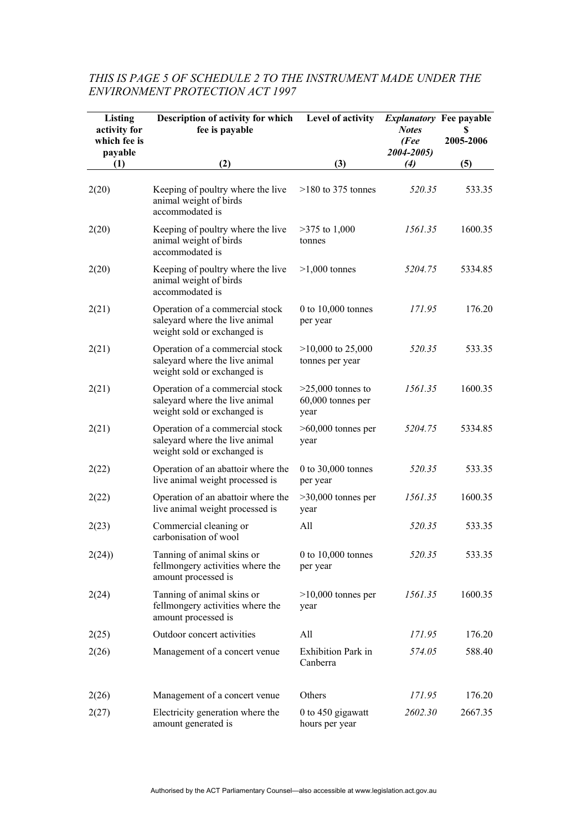| Listing<br>activity for<br>which fee is<br>payable | Description of activity for which<br>fee is payable                                              | Level of activity                                | <i>Explanatory</i> Fee payable<br><b>Notes</b><br>(Fee<br>2004-2005) | S<br>2005-2006 |
|----------------------------------------------------|--------------------------------------------------------------------------------------------------|--------------------------------------------------|----------------------------------------------------------------------|----------------|
| (1)                                                | (2)                                                                                              | (3)                                              | (4)                                                                  | (5)            |
| 2(20)                                              | Keeping of poultry where the live<br>animal weight of birds<br>accommodated is                   | $>180$ to 375 tonnes                             | 520.35                                                               | 533.35         |
| 2(20)                                              | Keeping of poultry where the live<br>animal weight of birds<br>accommodated is                   | $>375$ to 1,000<br>tonnes                        | 1561.35                                                              | 1600.35        |
| 2(20)                                              | Keeping of poultry where the live<br>animal weight of birds<br>accommodated is                   | $>1,000$ tonnes                                  | 5204.75                                                              | 5334.85        |
| 2(21)                                              | Operation of a commercial stock<br>saleyard where the live animal<br>weight sold or exchanged is | $0$ to $10,000$ tonnes<br>per year               | 171.95                                                               | 176.20         |
| 2(21)                                              | Operation of a commercial stock<br>saleyard where the live animal<br>weight sold or exchanged is | $>10,000$ to 25,000<br>tonnes per year           | 520.35                                                               | 533.35         |
| 2(21)                                              | Operation of a commercial stock<br>saleyard where the live animal<br>weight sold or exchanged is | $>25,000$ tonnes to<br>60,000 tonnes per<br>year | 1561.35                                                              | 1600.35        |
| 2(21)                                              | Operation of a commercial stock<br>saleyard where the live animal<br>weight sold or exchanged is | $>60,000$ tonnes per<br>year                     | 5204.75                                                              | 5334.85        |
| 2(22)                                              | Operation of an abattoir where the<br>live animal weight processed is                            | 0 to 30,000 tonnes<br>per year                   | 520.35                                                               | 533.35         |
| 2(22)                                              | Operation of an abattoir where the<br>live animal weight processed is                            | $>30,000$ tonnes per<br>year                     | 1561.35                                                              | 1600.35        |
| 2(23)                                              | Commercial cleaning or<br>carbonisation of wool                                                  | All                                              | 520.35                                                               | 533.35         |
| 2(24)                                              | Tanning of animal skins or<br>fellmongery activities where the<br>amount processed is            | 0 to $10,000$ tonnes<br>per year                 | 520.35                                                               | 533.35         |
| 2(24)                                              | Tanning of animal skins or<br>fellmongery activities where the<br>amount processed is            | $>10,000$ tonnes per<br>year                     | 1561.35                                                              | 1600.35        |
| 2(25)                                              | Outdoor concert activities                                                                       | All                                              | 171.95                                                               | 176.20         |
| 2(26)                                              | Management of a concert venue                                                                    | <b>Exhibition Park in</b><br>Canberra            | 574.05                                                               | 588.40         |
| 2(26)                                              | Management of a concert venue                                                                    | Others                                           | 171.95                                                               | 176.20         |
| 2(27)                                              | Electricity generation where the<br>amount generated is                                          | 0 to 450 gigawatt<br>hours per year              | 2602.30                                                              | 2667.35        |

# *THIS IS PAGE 5 OF SCHEDULE 2 TO THE INSTRUMENT MADE UNDER THE ENVIRONMENT PROTECTION ACT 1997*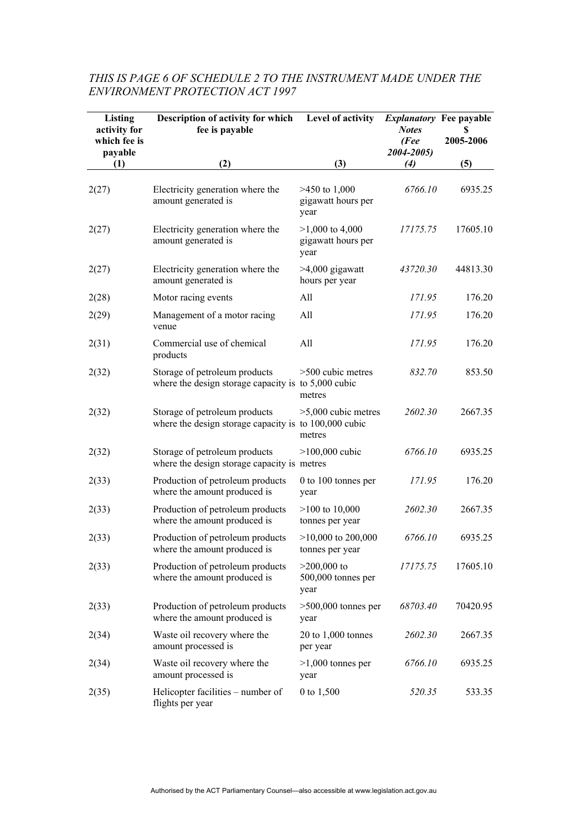| Listing<br>activity for<br>which fee is<br>payable | Description of activity for which<br>fee is payable                                    | Level of activity                               | <i>Explanatory</i> Fee payable<br><b>Notes</b><br>(Fee<br>2004-2005) | 2005-2006 |
|----------------------------------------------------|----------------------------------------------------------------------------------------|-------------------------------------------------|----------------------------------------------------------------------|-----------|
| (1)                                                | (2)                                                                                    | (3)                                             | (4)                                                                  | (5)       |
| 2(27)                                              | Electricity generation where the<br>amount generated is                                | $>450$ to 1,000<br>gigawatt hours per<br>year   | 6766.10                                                              | 6935.25   |
| 2(27)                                              | Electricity generation where the<br>amount generated is                                | $>1,000$ to 4,000<br>gigawatt hours per<br>year | 17175.75                                                             | 17605.10  |
| 2(27)                                              | Electricity generation where the<br>amount generated is                                | $>4,000$ gigawatt<br>hours per year             | 43720.30                                                             | 44813.30  |
| 2(28)                                              | Motor racing events                                                                    | All                                             | 171.95                                                               | 176.20    |
| 2(29)                                              | Management of a motor racing<br>venue                                                  | All                                             | 171.95                                                               | 176.20    |
| 2(31)                                              | Commercial use of chemical<br>products                                                 | All                                             | 171.95                                                               | 176.20    |
| 2(32)                                              | Storage of petroleum products<br>where the design storage capacity is to $5,000$ cubic | >500 cubic metres<br>metres                     | 832.70                                                               | 853.50    |
| 2(32)                                              | Storage of petroleum products<br>where the design storage capacity is to 100,000 cubic | $>5,000$ cubic metres<br>metres                 | 2602.30                                                              | 2667.35   |
| 2(32)                                              | Storage of petroleum products<br>where the design storage capacity is metres           | $>100,000$ cubic                                | 6766.10                                                              | 6935.25   |
| 2(33)                                              | Production of petroleum products<br>where the amount produced is                       | 0 to 100 tonnes per<br>year                     | 171.95                                                               | 176.20    |
| 2(33)                                              | Production of petroleum products<br>where the amount produced is                       | $>100$ to 10,000<br>tonnes per year             | 2602.30                                                              | 2667.35   |
| 2(33)                                              | Production of petroleum products<br>where the amount produced is                       | $>10,000$ to 200,000<br>tonnes per year         | 6766.10                                                              | 6935.25   |
| 2(33)                                              | Production of petroleum products<br>where the amount produced is                       | $>200,000$ to<br>500,000 tonnes per<br>year     | 17175.75                                                             | 17605.10  |
| 2(33)                                              | Production of petroleum products<br>where the amount produced is                       | $>500,000$ tonnes per<br>year                   | 68703.40                                                             | 70420.95  |
| 2(34)                                              | Waste oil recovery where the<br>amount processed is                                    | $20$ to $1,000$ tonnes<br>per year              | 2602.30                                                              | 2667.35   |
| 2(34)                                              | Waste oil recovery where the<br>amount processed is                                    | $>1,000$ tonnes per<br>year                     | 6766.10                                                              | 6935.25   |
| 2(35)                                              | Helicopter facilities – number of<br>flights per year                                  | 0 to 1,500                                      | 520.35                                                               | 533.35    |

# *THIS IS PAGE 6 OF SCHEDULE 2 TO THE INSTRUMENT MADE UNDER THE ENVIRONMENT PROTECTION ACT 1997*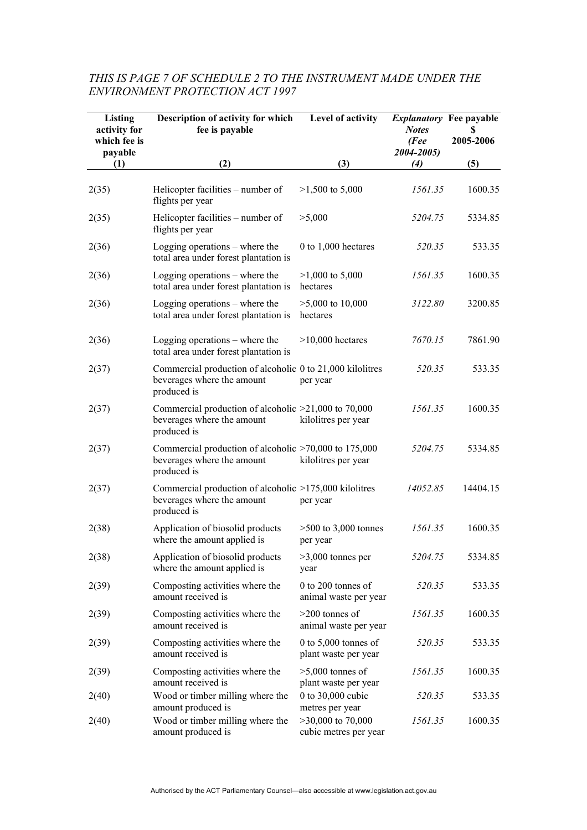| Listing<br>activity for<br>which fee is<br>payable | Description of activity for which<br>fee is payable                                                    | Level of activity                              | <b>Explanatory Fee payable</b><br><b>Notes</b><br>(Fee<br>2004-2005) | S<br>2005-2006 |
|----------------------------------------------------|--------------------------------------------------------------------------------------------------------|------------------------------------------------|----------------------------------------------------------------------|----------------|
| (1)                                                | (2)                                                                                                    | (3)                                            | (4)                                                                  | (5)            |
| 2(35)                                              | Helicopter facilities – number of<br>flights per year                                                  | $>1,500$ to 5,000                              | 1561.35                                                              | 1600.35        |
| 2(35)                                              | Helicopter facilities – number of<br>flights per year                                                  | >5,000                                         | 5204.75                                                              | 5334.85        |
| 2(36)                                              | Logging operations $-$ where the<br>total area under forest plantation is                              | 0 to $1,000$ hectares                          | 520.35                                                               | 533.35         |
| 2(36)                                              | Logging operations $-$ where the<br>total area under forest plantation is                              | $>1,000$ to 5,000<br>hectares                  | 1561.35                                                              | 1600.35        |
| 2(36)                                              | Logging operations $-$ where the<br>total area under forest plantation is                              | $>5,000$ to 10,000<br>hectares                 | 3122.80                                                              | 3200.85        |
| 2(36)                                              | Logging operations $-$ where the<br>total area under forest plantation is                              | $>10,000$ hectares                             | 7670.15                                                              | 7861.90        |
| 2(37)                                              | Commercial production of alcoholic 0 to 21,000 kilolitres<br>beverages where the amount<br>produced is | per year                                       | 520.35                                                               | 533.35         |
| 2(37)                                              | Commercial production of alcoholic $>21,000$ to 70,000<br>beverages where the amount<br>produced is    | kilolitres per year                            | 1561.35                                                              | 1600.35        |
| 2(37)                                              | Commercial production of alcoholic $>70,000$ to 175,000<br>beverages where the amount<br>produced is   | kilolitres per year                            | 5204.75                                                              | 5334.85        |
| 2(37)                                              | Commercial production of alcoholic >175,000 kilolitres<br>beverages where the amount<br>produced is    | per year                                       | 14052.85                                                             | 14404.15       |
| 2(38)                                              | Application of biosolid products<br>where the amount applied is                                        | $>500$ to 3,000 tonnes<br>per year             | 1561.35                                                              | 1600.35        |
| 2(38)                                              | Application of biosolid products<br>where the amount applied is                                        | $>3,000$ tonnes per<br>year                    | 5204.75                                                              | 5334.85        |
| 2(39)                                              | Composting activities where the<br>amount received is                                                  | 0 to 200 tonnes of<br>animal waste per year    | 520.35                                                               | 533.35         |
| 2(39)                                              | Composting activities where the<br>amount received is                                                  | $>200$ tonnes of<br>animal waste per year      | 1561.35                                                              | 1600.35        |
| 2(39)                                              | Composting activities where the<br>amount received is                                                  | 0 to $5,000$ tonnes of<br>plant waste per year | 520.35                                                               | 533.35         |
| 2(39)                                              | Composting activities where the<br>amount received is                                                  | $>5,000$ tonnes of<br>plant waste per year     | 1561.35                                                              | 1600.35        |
| 2(40)                                              | Wood or timber milling where the<br>amount produced is                                                 | 0 to 30,000 cubic<br>metres per year           | 520.35                                                               | 533.35         |
| 2(40)                                              | Wood or timber milling where the<br>amount produced is                                                 | $>30,000$ to 70,000<br>cubic metres per year   | 1561.35                                                              | 1600.35        |

# *THIS IS PAGE 7 OF SCHEDULE 2 TO THE INSTRUMENT MADE UNDER THE ENVIRONMENT PROTECTION ACT 1997*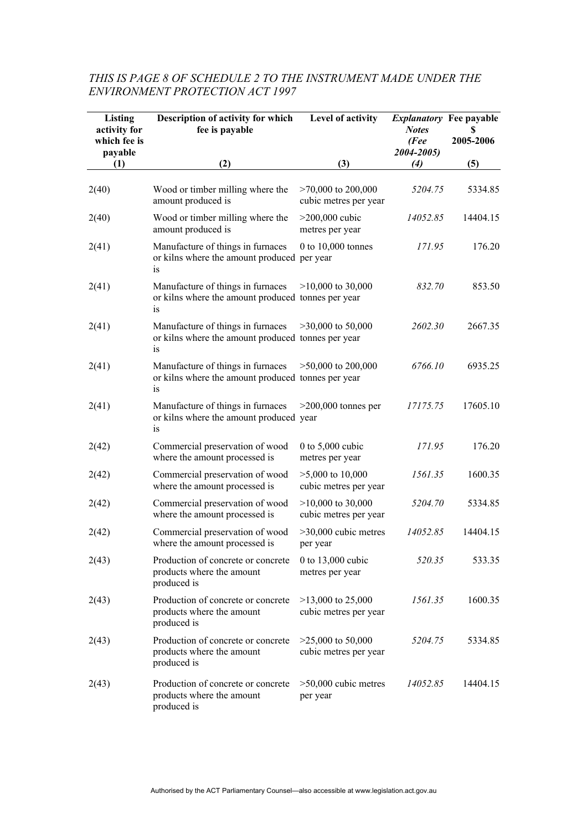#### **Listing activity for which fee is payable (1) Description of activity for which fee is payable (2) Level of activity (3)**  *Explanatory* **Fee payable** *Notes (Fee 2004-2005) (4)* **\$ 2005-2006 (5)**  2(40) Wood or timber milling where the amount produced is >70,000 to 200,000 cubic metres per year *5204.75* 5334.85 2(40) Wood or timber milling where the amount produced is >200,000 cubic metres per year *14052.85* 14404.15 2(41) Manufacture of things in furnaces or kilns where the amount produced per year is 0 to 10,000 tonnes *171.95* 176.20 2(41) Manufacture of things in furnaces or kilns where the amount produced tonnes per year is >10,000 to 30,000 *832.70* 853.50 2(41) Manufacture of things in furnaces or kilns where the amount produced tonnes per year is >30,000 to 50,000 *2602.30* 2667.35 2(41) Manufacture of things in furnaces or kilns where the amount produced tonnes per year is >50,000 to 200,000 *6766.10* 6935.25 2(41) Manufacture of things in furnaces or kilns where the amount produced year is >200,000 tonnes per *17175.75* 17605.10 2(42) Commercial preservation of wood where the amount processed is 0 to 5,000 cubic metres per year *171.95* 176.20 2(42) Commercial preservation of wood where the amount processed is >5,000 to 10,000 cubic metres per year *1561.35* 1600.35 2(42) Commercial preservation of wood where the amount processed is >10,000 to 30,000 cubic metres per year *5204.70* 5334.85 2(42) Commercial preservation of wood where the amount processed is >30,000 cubic metres per year *14052.85* 14404.15 2(43) Production of concrete or concrete products where the amount produced is 0 to 13,000 cubic metres per year *520.35* 533.35 2(43) Production of concrete or concrete products where the amount produced is >13,000 to 25,000 cubic metres per year *1561.35* 1600.35 2(43) Production of concrete or concrete products where the amount produced is >25,000 to 50,000 cubic metres per year *5204.75* 5334.85 2(43) Production of concrete or concrete products where the amount >50,000 cubic metres per year *14052.85* 14404.15

#### *THIS IS PAGE 8 OF SCHEDULE 2 TO THE INSTRUMENT MADE UNDER THE ENVIRONMENT PROTECTION ACT 1997*

produced is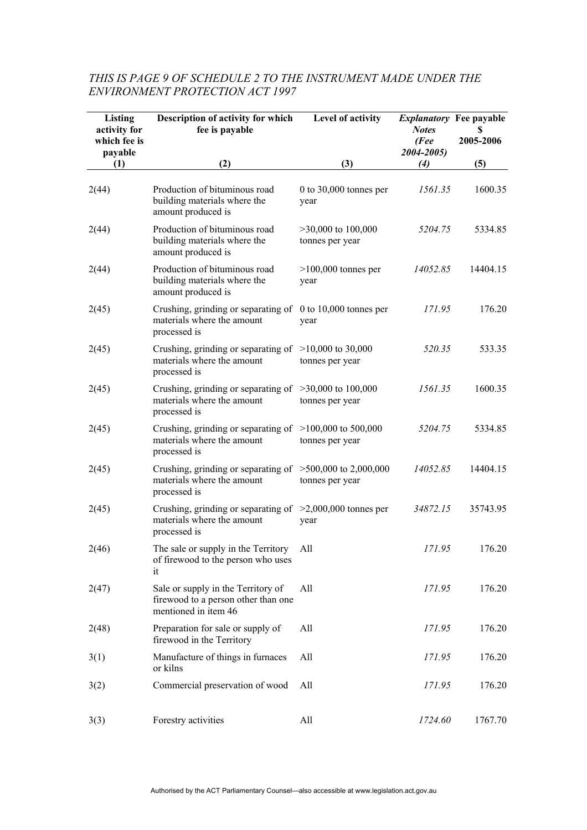| Listing<br>activity for<br>which fee is<br>payable | Description of activity for which<br>fee is payable                                                       | Level of activity                       | <b>Notes</b><br>(Fee)<br>2004-2005) | <b>Explanatory</b> Fee payable<br>S<br>2005-2006 |
|----------------------------------------------------|-----------------------------------------------------------------------------------------------------------|-----------------------------------------|-------------------------------------|--------------------------------------------------|
| (1)                                                | (2)                                                                                                       | (3)                                     | (4)                                 | (5)                                              |
| 2(44)                                              | Production of bituminous road<br>building materials where the<br>amount produced is                       | 0 to $30,000$ tonnes per<br>year        | 1561.35                             | 1600.35                                          |
| 2(44)                                              | Production of bituminous road<br>building materials where the<br>amount produced is                       | $>30,000$ to 100,000<br>tonnes per year | 5204.75                             | 5334.85                                          |
| 2(44)                                              | Production of bituminous road<br>building materials where the<br>amount produced is                       | $>100,000$ tonnes per<br>year           | 14052.85                            | 14404.15                                         |
| 2(45)                                              | Crushing, grinding or separating of 0 to 10,000 tonnes per<br>materials where the amount<br>processed is  | year                                    | 171.95                              | 176.20                                           |
| 2(45)                                              | Crushing, grinding or separating of $>10,000$ to 30,000<br>materials where the amount<br>processed is     | tonnes per year                         | 520.35                              | 533.35                                           |
| 2(45)                                              | Crushing, grinding or separating of $>30,000$ to 100,000<br>materials where the amount<br>processed is    | tonnes per year                         | 1561.35                             | 1600.35                                          |
| 2(45)                                              | Crushing, grinding or separating of $>100,000$ to 500,000<br>materials where the amount<br>processed is   | tonnes per year                         | 5204.75                             | 5334.85                                          |
| 2(45)                                              | Crushing, grinding or separating of $>500,000$ to 2,000,000<br>materials where the amount<br>processed is | tonnes per year                         | 14052.85                            | 14404.15                                         |
| 2(45)                                              | Crushing, grinding or separating of $>2,000,000$ tonnes per<br>materials where the amount<br>processed is | year                                    | 34872.15                            | 35743.95                                         |
| 2(46)                                              | The sale or supply in the Territory<br>of firewood to the person who uses<br>it                           | All                                     | 171.95                              | 176.20                                           |
| 2(47)                                              | Sale or supply in the Territory of<br>firewood to a person other than one<br>mentioned in item 46         | All                                     | 171.95                              | 176.20                                           |
| 2(48)                                              | Preparation for sale or supply of<br>firewood in the Territory                                            | All                                     | 171.95                              | 176.20                                           |
| 3(1)                                               | Manufacture of things in furnaces<br>or kilns                                                             | All                                     | 171.95                              | 176.20                                           |
| 3(2)                                               | Commercial preservation of wood                                                                           | All                                     | 171.95                              | 176.20                                           |
| 3(3)                                               | Forestry activities                                                                                       | All                                     | 1724.60                             | 1767.70                                          |

# *THIS IS PAGE 9 OF SCHEDULE 2 TO THE INSTRUMENT MADE UNDER THE ENVIRONMENT PROTECTION ACT 1997*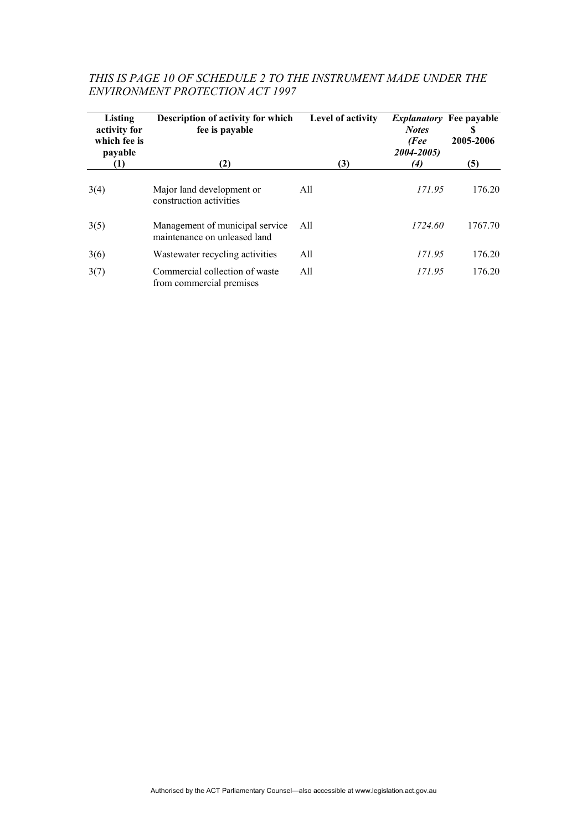| Listing<br>activity for<br>which fee is<br>payable | Description of activity for which<br>fee is payable             | Level of activity | <i>Explanatory</i> Fee payable<br><b>Notes</b><br>(Fee<br>2004-2005) | S<br>2005-2006 |
|----------------------------------------------------|-----------------------------------------------------------------|-------------------|----------------------------------------------------------------------|----------------|
| (1)                                                | (2)                                                             | (3)               | (4)                                                                  | (5)            |
| 3(4)                                               | Major land development or<br>construction activities            | All               | 171.95                                                               | 176.20         |
| 3(5)                                               | Management of municipal service<br>maintenance on unleased land | All               | 1724.60                                                              | 1767.70        |
| 3(6)                                               | Wastewater recycling activities                                 | All               | 171.95                                                               | 176.20         |
| 3(7)                                               | Commercial collection of waste<br>from commercial premises      | All               | 171.95                                                               | 176.20         |

#### *THIS IS PAGE 10 OF SCHEDULE 2 TO THE INSTRUMENT MADE UNDER THE ENVIRONMENT PROTECTION ACT 1997*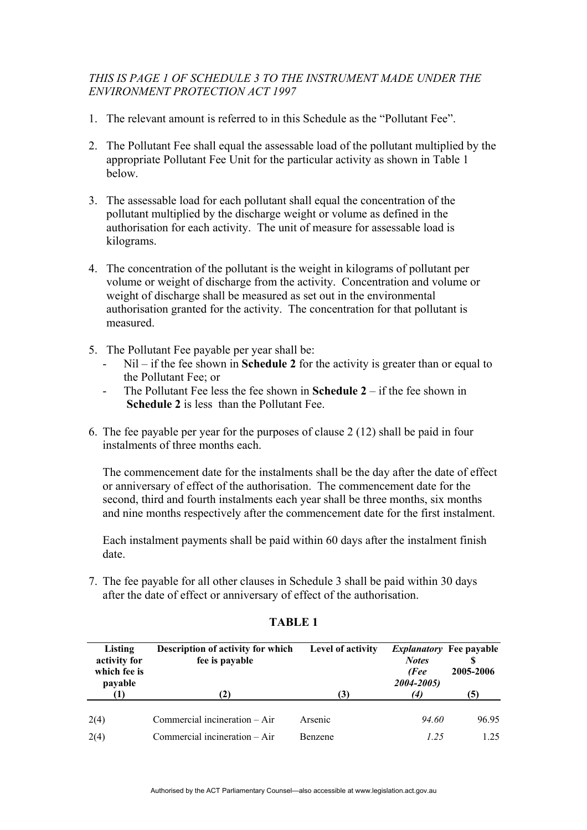### *THIS IS PAGE 1 OF SCHEDULE 3 TO THE INSTRUMENT MADE UNDER THE ENVIRONMENT PROTECTION ACT 1997*

- 1. The relevant amount is referred to in this Schedule as the "Pollutant Fee".
- 2. The Pollutant Fee shall equal the assessable load of the pollutant multiplied by the appropriate Pollutant Fee Unit for the particular activity as shown in Table 1 below.
- 3. The assessable load for each pollutant shall equal the concentration of the pollutant multiplied by the discharge weight or volume as defined in the authorisation for each activity. The unit of measure for assessable load is kilograms.
- 4. The concentration of the pollutant is the weight in kilograms of pollutant per volume or weight of discharge from the activity. Concentration and volume or weight of discharge shall be measured as set out in the environmental authorisation granted for the activity. The concentration for that pollutant is measured.
- 5. The Pollutant Fee payable per year shall be:
	- Nil if the fee shown in **Schedule 2** for the activity is greater than or equal to the Pollutant Fee; or
	- The Pollutant Fee less the fee shown in **Schedule 2** if the fee shown in  **Schedule 2** is less than the Pollutant Fee.
- 6. The fee payable per year for the purposes of clause 2 (12) shall be paid in four instalments of three months each.

The commencement date for the instalments shall be the day after the date of effect or anniversary of effect of the authorisation. The commencement date for the second, third and fourth instalments each year shall be three months, six months and nine months respectively after the commencement date for the first instalment.

Each instalment payments shall be paid within 60 days after the instalment finish date.

7. The fee payable for all other clauses in Schedule 3 shall be paid within 30 days after the date of effect or anniversary of effect of the authorisation.

| Listing<br>activity for<br>which fee is<br>payable | Description of activity for which<br>fee is payable | Level of activity | <i>Explanatory</i> Fee payable<br><b>Notes</b><br>(Fee<br>2004-2005) | 2005-2006 |
|----------------------------------------------------|-----------------------------------------------------|-------------------|----------------------------------------------------------------------|-----------|
|                                                    | (2)                                                 | (3)               | $\left( 4\right)$                                                    | (5)       |
| 2(4)                                               | Commercial incineration – Air                       | Arsenic           | 94.60                                                                | 96.95     |
| 2(4)                                               | Commercial incineration – Air                       | <b>Benzene</b>    | 1.25                                                                 | 1 25      |

#### **TABLE 1**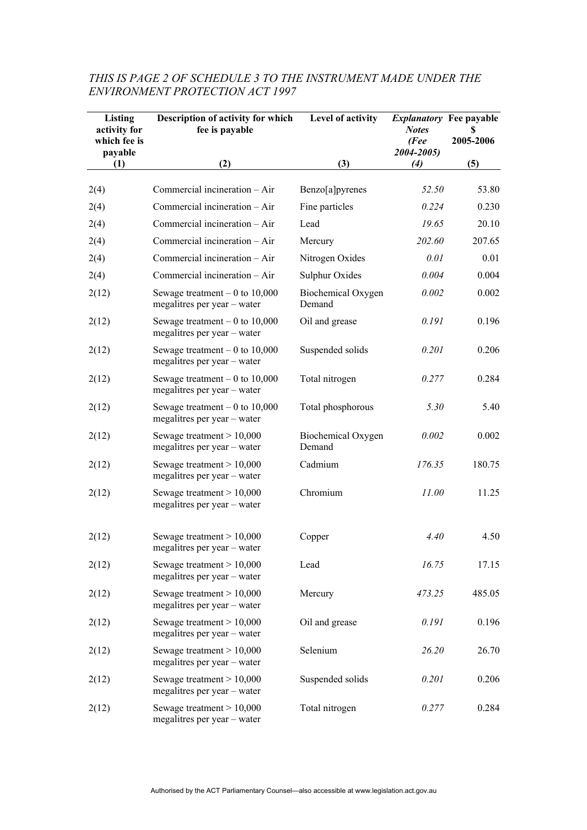| <b>Listing</b><br>activity for<br>which fee is<br>payable | Description of activity for which<br>fee is payable            | Level of activity            | <b>Notes</b><br>(Fee<br>2004-2005) | <i>Explanatory</i> Fee payable<br>2005-2006 |
|-----------------------------------------------------------|----------------------------------------------------------------|------------------------------|------------------------------------|---------------------------------------------|
| (1)                                                       | (2)                                                            | (3)                          | (4)                                | (5)                                         |
| 2(4)                                                      | Commercial incineration - Air                                  | Benzo[a]pyrenes              | 52.50                              | 53.80                                       |
| 2(4)                                                      | Commercial incineration - Air                                  | Fine particles               | 0.224                              | 0.230                                       |
| 2(4)                                                      | Commercial incineration - Air                                  | Lead                         | 19.65                              | 20.10                                       |
| 2(4)                                                      | Commercial incineration - Air                                  | Mercury                      | 202.60                             | 207.65                                      |
| 2(4)                                                      | Commercial incineration - Air                                  | Nitrogen Oxides              | 0.01                               | 0.01                                        |
| 2(4)                                                      | Commercial incineration - Air                                  | Sulphur Oxides               | 0.004                              | 0.004                                       |
| 2(12)                                                     | Sewage treatment $-0$ to 10,000<br>megalitres per year – water | Biochemical Oxygen<br>Demand | 0.002                              | 0.002                                       |
| 2(12)                                                     | Sewage treatment $-0$ to 10,000<br>megalitres per year - water | Oil and grease               | 0.191                              | 0.196                                       |
| 2(12)                                                     | Sewage treatment $-0$ to 10,000<br>megalitres per year - water | Suspended solids             | 0.201                              | 0.206                                       |
| 2(12)                                                     | Sewage treatment $-0$ to 10,000<br>megalitres per year – water | Total nitrogen               | 0.277                              | 0.284                                       |
| 2(12)                                                     | Sewage treatment $-0$ to 10,000<br>megalitres per year – water | Total phosphorous            | 5.30                               | 5.40                                        |
| 2(12)                                                     | Sewage treatment $> 10,000$<br>megalitres per year – water     | Biochemical Oxygen<br>Demand | 0.002                              | 0.002                                       |
| 2(12)                                                     | Sewage treatment $> 10,000$<br>megalitres per year - water     | Cadmium                      | 176.35                             | 180.75                                      |
| 2(12)                                                     | Sewage treatment $> 10,000$<br>megalitres per year - water     | Chromium                     | 11.00                              | 11.25                                       |
| 2(12)                                                     | Sewage treatment $> 10,000$<br>megalitres per year – water     | Copper                       | 4.40                               | 4.50                                        |
| 2(12)                                                     | Sewage treatment $> 10,000$<br>megalitres per year – water     | Lead                         | 16.75                              | 17.15                                       |
| 2(12)                                                     | Sewage treatment $> 10,000$<br>megalitres per year - water     | Mercury                      | 473.25                             | 485.05                                      |
| 2(12)                                                     | Sewage treatment $> 10,000$<br>megalitres per year - water     | Oil and grease               | 0.191                              | 0.196                                       |
| 2(12)                                                     | Sewage treatment $> 10,000$<br>megalitres per year - water     | Selenium                     | 26.20                              | 26.70                                       |
| 2(12)                                                     | Sewage treatment $> 10,000$<br>megalitres per year – water     | Suspended solids             | 0.201                              | 0.206                                       |
| 2(12)                                                     | Sewage treatment $> 10,000$<br>megalitres per year - water     | Total nitrogen               | 0.277                              | 0.284                                       |

# *THIS IS PAGE 2 OF SCHEDULE 3 TO THE INSTRUMENT MADE UNDER THE ENVIRONMENT PROTECTION ACT 1997*